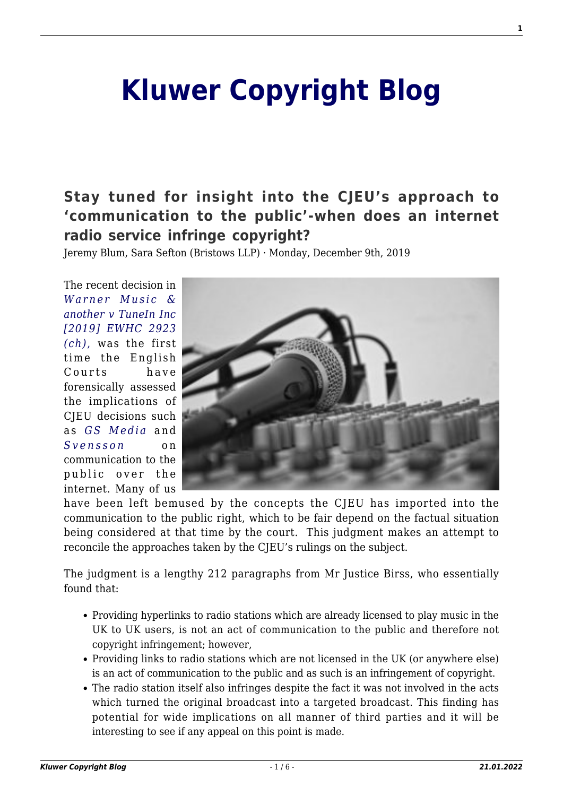# **[Kluwer Copyright Blog](http://copyrightblog.kluweriplaw.com/)**

# **[Stay tuned for insight into the CJEU's approach to](http://copyrightblog.kluweriplaw.com/2019/12/09/stay-tuned-for-insight-into-the-cjeus-approach-to-communication-to-the-public-when-does-an-internet-radio-service-infringe-copyright/) ['communication to the public'-when does an internet](http://copyrightblog.kluweriplaw.com/2019/12/09/stay-tuned-for-insight-into-the-cjeus-approach-to-communication-to-the-public-when-does-an-internet-radio-service-infringe-copyright/) [radio service infringe copyright?](http://copyrightblog.kluweriplaw.com/2019/12/09/stay-tuned-for-insight-into-the-cjeus-approach-to-communication-to-the-public-when-does-an-internet-radio-service-infringe-copyright/)**

Jeremy Blum, Sara Sefton (Bristows LLP) · Monday, December 9th, 2019

The recent decision in *[Warner Music &](https://www.bailii.org/ew/cases/EWHC/Ch/2019/2923.html) [another v TuneIn Inc](https://www.bailii.org/ew/cases/EWHC/Ch/2019/2923.html) [\[2019\] EWHC 2923](https://www.bailii.org/ew/cases/EWHC/Ch/2019/2923.html) [\(ch\)](https://www.bailii.org/ew/cases/EWHC/Ch/2019/2923.html)*[,](https://www.bailii.org/ew/cases/EWHC/Ch/2019/2923.html) was the first time the English Courts have forensically assessed the implications of CJEU decisions such as *[GS Media](http://curia.europa.eu/juris/document/document.jsf?text=&docid=183124&pageIndex=0&doclang=en&mode=lst&dir=&occ=first&part=1&cid=6026390)* and *[Svensson](http://curia.europa.eu/juris/document/document.jsf?docid=147847&doclang=EN)* on communication to the public over the internet. Many of us



have been left bemused by the concepts the CJEU has imported into the communication to the public right, which to be fair depend on the factual situation being considered at that time by the court. This judgment makes an attempt to reconcile the approaches taken by the CJEU's rulings on the subject.

The judgment is a lengthy 212 paragraphs from Mr Justice Birss, who essentially found that:

- Providing hyperlinks to radio stations which are already licensed to play music in the UK to UK users, is not an act of communication to the public and therefore not copyright infringement; however,
- Providing links to radio stations which are not licensed in the UK (or anywhere else) is an act of communication to the public and as such is an infringement of copyright.
- The radio station itself also infringes despite the fact it was not involved in the acts which turned the original broadcast into a targeted broadcast. This finding has potential for wide implications on all manner of third parties and it will be interesting to see if any appeal on this point is made.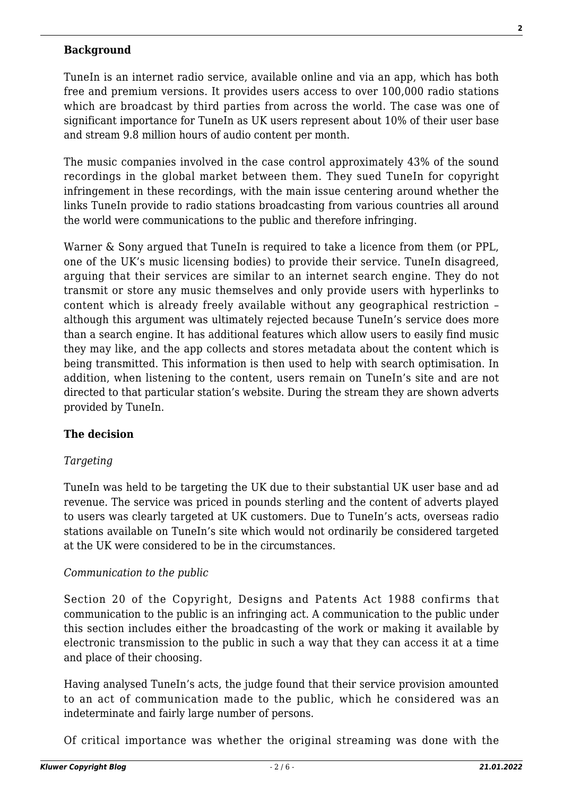#### **Background**

TuneIn is an internet radio service, available online and via an app, which has both free and premium versions. It provides users access to over 100,000 radio stations which are broadcast by third parties from across the world. The case was one of significant importance for TuneIn as UK users represent about 10% of their user base and stream 9.8 million hours of audio content per month.

The music companies involved in the case control approximately 43% of the sound recordings in the global market between them. They sued TuneIn for copyright infringement in these recordings, with the main issue centering around whether the links TuneIn provide to radio stations broadcasting from various countries all around the world were communications to the public and therefore infringing.

Warner & Sony argued that TuneIn is required to take a licence from them (or PPL, one of the UK's music licensing bodies) to provide their service. TuneIn disagreed, arguing that their services are similar to an internet search engine. They do not transmit or store any music themselves and only provide users with hyperlinks to content which is already freely available without any geographical restriction – although this argument was ultimately rejected because TuneIn's service does more than a search engine. It has additional features which allow users to easily find music they may like, and the app collects and stores metadata about the content which is being transmitted. This information is then used to help with search optimisation. In addition, when listening to the content, users remain on TuneIn's site and are not directed to that particular station's website. During the stream they are shown adverts provided by TuneIn.

#### **The decision**

#### *Targeting*

TuneIn was held to be targeting the UK due to their substantial UK user base and ad revenue. The service was priced in pounds sterling and the content of adverts played to users was clearly targeted at UK customers. Due to TuneIn's acts, overseas radio stations available on TuneIn's site which would not ordinarily be considered targeted at the UK were considered to be in the circumstances.

#### *Communication to the public*

Section 20 of the Copyright, Designs and Patents Act 1988 confirms that communication to the public is an infringing act. A communication to the public under this section includes either the broadcasting of the work or making it available by electronic transmission to the public in such a way that they can access it at a time and place of their choosing.

Having analysed TuneIn's acts, the judge found that their service provision amounted to an act of communication made to the public, which he considered was an indeterminate and fairly large number of persons.

Of critical importance was whether the original streaming was done with the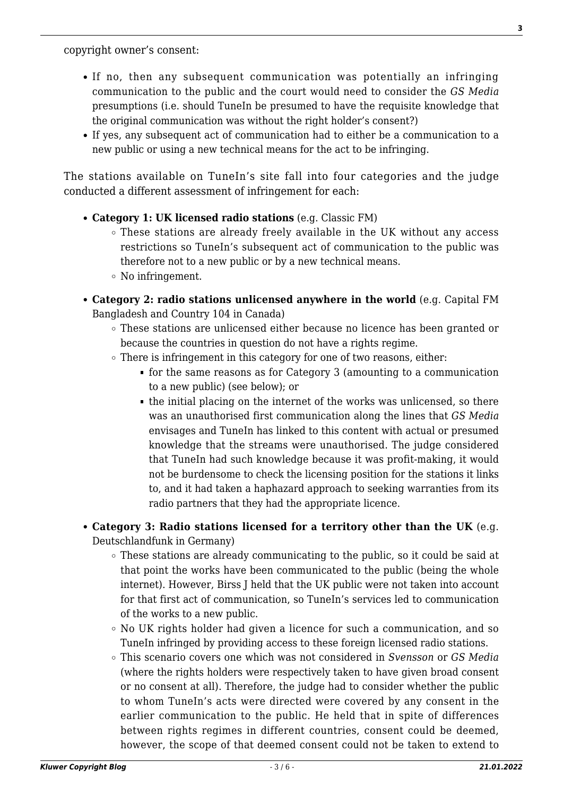copyright owner's consent:

- If no, then any subsequent communication was potentially an infringing communication to the public and the court would need to consider the *GS Media* presumptions (i.e. should TuneIn be presumed to have the requisite knowledge that the original communication was without the right holder's consent?)
- If yes, any subsequent act of communication had to either be a communication to a new public or using a new technical means for the act to be infringing.

The stations available on TuneIn's site fall into four categories and the judge conducted a different assessment of infringement for each:

- **Category 1: UK licensed radio stations** (e.g. Classic FM)
	- These stations are already freely available in the UK without any access restrictions so TuneIn's subsequent act of communication to the public was therefore not to a new public or by a new technical means.
	- No infringement.
- **Category 2: radio stations unlicensed anywhere in the world** (e.g. Capital FM Bangladesh and Country 104 in Canada)
	- These stations are unlicensed either because no licence has been granted or because the countries in question do not have a rights regime.
	- $\circ$  There is infringement in this category for one of two reasons, either:
		- for the same reasons as for Category 3 (amounting to a communication to a new public) (see below); or
		- the initial placing on the internet of the works was unlicensed, so there was an unauthorised first communication along the lines that *GS Media* envisages and TuneIn has linked to this content with actual or presumed knowledge that the streams were unauthorised. The judge considered that TuneIn had such knowledge because it was profit-making, it would not be burdensome to check the licensing position for the stations it links to, and it had taken a haphazard approach to seeking warranties from its radio partners that they had the appropriate licence.

### **Category 3: Radio stations licensed for a territory other than the UK** (e.g. Deutschlandfunk in Germany)

- These stations are already communicating to the public, so it could be said at that point the works have been communicated to the public (being the whole internet). However, Birss J held that the UK public were not taken into account for that first act of communication, so TuneIn's services led to communication of the works to a new public.
- $\circ$  No UK rights holder had given a licence for such a communication, and so TuneIn infringed by providing access to these foreign licensed radio stations.
- This scenario covers one which was not considered in *Svensson* or *GS Media* (where the rights holders were respectively taken to have given broad consent or no consent at all). Therefore, the judge had to consider whether the public to whom TuneIn's acts were directed were covered by any consent in the earlier communication to the public. He held that in spite of differences between rights regimes in different countries, consent could be deemed, however, the scope of that deemed consent could not be taken to extend to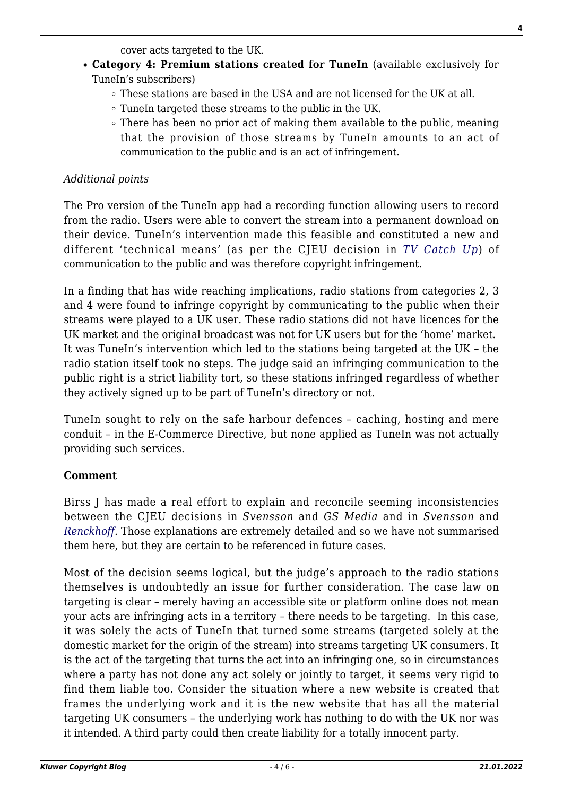cover acts targeted to the UK.

- **Category 4: Premium stations created for TuneIn** (available exclusively for TuneIn's subscribers)
	- $\circ$  These stations are based in the USA and are not licensed for the UK at all.
	- TuneIn targeted these streams to the public in the UK.
	- $\circ$  There has been no prior act of making them available to the public, meaning that the provision of those streams by TuneIn amounts to an act of communication to the public and is an act of infringement.

#### *Additional points*

The Pro version of the TuneIn app had a recording function allowing users to record from the radio. Users were able to convert the stream into a permanent download on their device. TuneIn's intervention made this feasible and constituted a new and different 'technical means' (as per the CJEU decision in *[TV Catch Up](https://eur-lex.europa.eu/legal-content/EN/TXT/HTML/?uri=CELEX:62011CJ0607&from=EN)*) of communication to the public and was therefore copyright infringement.

In a finding that has wide reaching implications, radio stations from categories 2, 3 and 4 were found to infringe copyright by communicating to the public when their streams were played to a UK user. These radio stations did not have licences for the UK market and the original broadcast was not for UK users but for the 'home' market. It was TuneIn's intervention which led to the stations being targeted at the UK – the radio station itself took no steps. The judge said an infringing communication to the public right is a strict liability tort, so these stations infringed regardless of whether they actively signed up to be part of TuneIn's directory or not.

TuneIn sought to rely on the safe harbour defences – caching, hosting and mere conduit – in the E-Commerce Directive, but none applied as TuneIn was not actually providing such services.

#### **Comment**

Birss J has made a real effort to explain and reconcile seeming inconsistencies between the CJEU decisions in *Svensson* and *GS Media* and in *Svensson* and *[Renckhoff](http://curia.europa.eu/juris/document/document.jsf?text=&docid=204738&pageIndex=0&doclang=en&mode=lst&dir=&occ=first&part=1&cid=6026678)*. Those explanations are extremely detailed and so we have not summarised them here, but they are certain to be referenced in future cases.

Most of the decision seems logical, but the judge's approach to the radio stations themselves is undoubtedly an issue for further consideration. The case law on targeting is clear – merely having an accessible site or platform online does not mean your acts are infringing acts in a territory – there needs to be targeting. In this case, it was solely the acts of TuneIn that turned some streams (targeted solely at the domestic market for the origin of the stream) into streams targeting UK consumers. It is the act of the targeting that turns the act into an infringing one, so in circumstances where a party has not done any act solely or jointly to target, it seems very rigid to find them liable too. Consider the situation where a new website is created that frames the underlying work and it is the new website that has all the material targeting UK consumers – the underlying work has nothing to do with the UK nor was it intended. A third party could then create liability for a totally innocent party.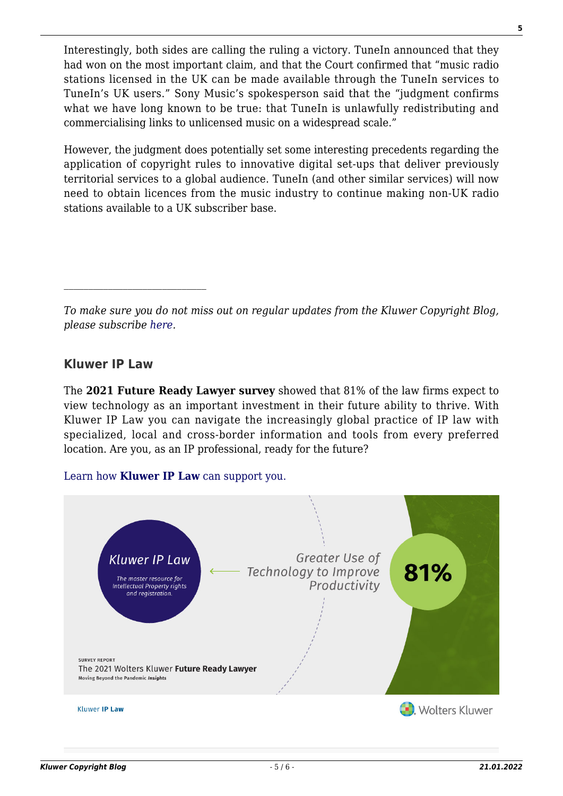Interestingly, both sides are calling the ruling a victory. TuneIn announced that they had won on the most important claim, and that the Court confirmed that "music radio stations licensed in the UK can be made available through the TuneIn services to TuneIn's UK users." Sony Music's spokesperson said that the "judgment confirms what we have long known to be true: that TuneIn is unlawfully redistributing and commercialising links to unlicensed music on a widespread scale."

However, the judgment does potentially set some interesting precedents regarding the application of copyright rules to innovative digital set-ups that deliver previously territorial services to a global audience. TuneIn (and other similar services) will now need to obtain licences from the music industry to continue making non-UK radio stations available to a UK subscriber base.

*To make sure you do not miss out on regular updates from the Kluwer Copyright Blog, please subscribe [here.](http://copyrightblog.kluweriplaw.com/newsletter)*

## **Kluwer IP Law**

The **2021 Future Ready Lawyer survey** showed that 81% of the law firms expect to view technology as an important investment in their future ability to thrive. With Kluwer IP Law you can navigate the increasingly global practice of IP law with specialized, local and cross-border information and tools from every preferred location. Are you, as an IP professional, ready for the future?

#### [Learn how](https://www.wolterskluwer.com/en/solutions/kluweriplaw?utm_source=copyrightnblog&utm_medium=articleCTA&utm_campaign=article-banner) **[Kluwer IP Law](https://www.wolterskluwer.com/en/solutions/kluweriplaw?utm_source=copyrightnblog&utm_medium=articleCTA&utm_campaign=article-banner)** [can support you.](https://www.wolterskluwer.com/en/solutions/kluweriplaw?utm_source=copyrightnblog&utm_medium=articleCTA&utm_campaign=article-banner)